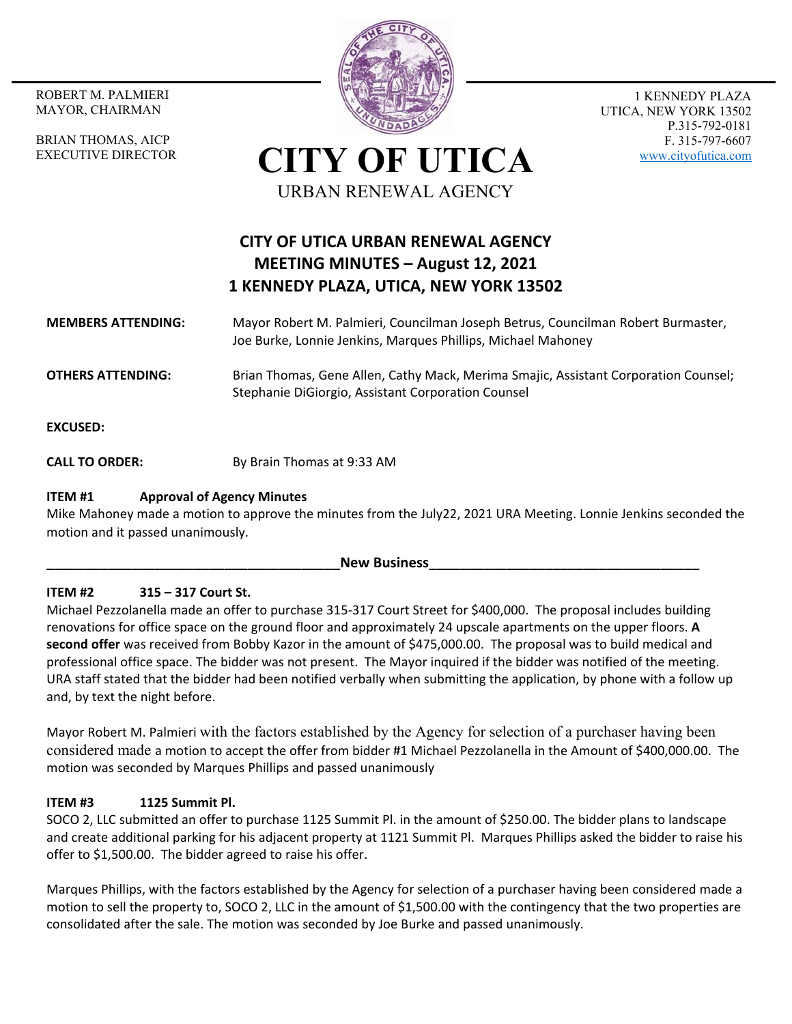MAYOR, CHAIRMAN

BRIAN THOMAS, AICP EXECUTIVE DIRECTOR



1 KENNEDY PLAZA UTICA, NEW YORK 13502 P.315-792-0181 F. 315-797-6607 www.cityofutica.com

**CITY OF UTICA** URBAN RENEWAL AGENCY

# **CITY OF UTICA URBAN RENEWAL AGENCY MEETING MINUTES – August 12, 2021 1 KENNEDY PLAZA, UTICA, NEW YORK 13502**

## **MEMBERS ATTENDING:**  Mayor Robert M. Palmieri, Councilman Joseph Betrus, Councilman Robert Burmaster, Joe Burke, Lonnie Jenkins, Marques Phillips, Michael Mahoney

**OTHERS ATTENDING:** Brian Thomas, Gene Allen, Cathy Mack, Merima Smajic, Assistant Corporation Counsel; Stephanie DiGiorgio, Assistant Corporation Counsel

**EXCUSED:** 

**CALL TO ORDER:** By Brain Thomas at 9:33 AM

## **ITEM #1 Approval of Agency Minutes**

Mike Mahoney made a motion to approve the minutes from the July22, 2021 URA Meeting. Lonnie Jenkins seconded the motion and it passed unanimously.

**New Business** 

# **ITEM #2 315 – 317 Court St.**

Michael Pezzolanella made an offer to purchase 315‐317 Court Street for \$400,000. The proposal includes building renovations for office space on the ground floor and approximately 24 upscale apartments on the upper floors. **A second offer** was received from Bobby Kazor in the amount of \$475,000.00. The proposal was to build medical and professional office space. The bidder was not present. The Mayor inquired if the bidder was notified of the meeting. URA staff stated that the bidder had been notified verbally when submitting the application, by phone with a follow up and, by text the night before.

Mayor Robert M. Palmieri with the factors established by the Agency for selection of a purchaser having been considered made a motion to accept the offer from bidder #1 Michael Pezzolanella in the Amount of \$400,000.00. The motion was seconded by Marques Phillips and passed unanimously

# **ITEM #3 1125 Summit Pl.**

SOCO 2, LLC submitted an offer to purchase 1125 Summit Pl. in the amount of \$250.00. The bidder plans to landscape and create additional parking for his adjacent property at 1121 Summit Pl. Marques Phillips asked the bidder to raise his offer to \$1,500.00. The bidder agreed to raise his offer.

Marques Phillips, with the factors established by the Agency for selection of a purchaser having been considered made a motion to sell the property to, SOCO 2, LLC in the amount of \$1,500.00 with the contingency that the two properties are consolidated after the sale. The motion was seconded by Joe Burke and passed unanimously.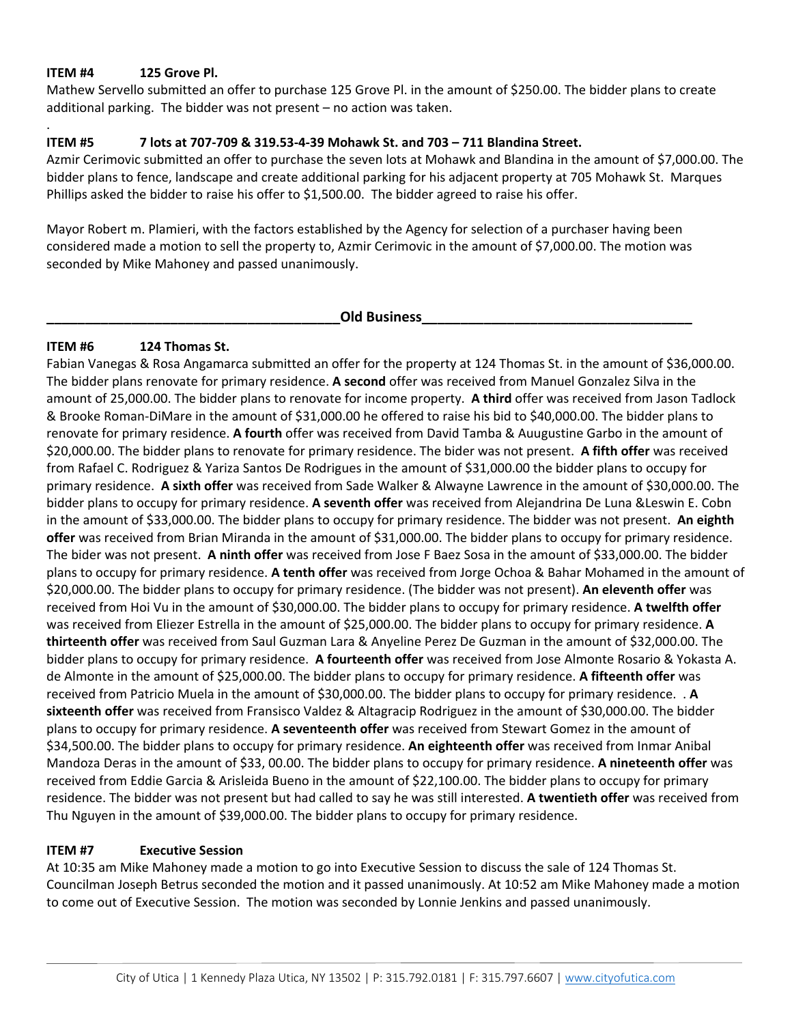## **ITEM #4 125 Grove Pl.**

.

Mathew Servello submitted an offer to purchase 125 Grove Pl. in the amount of \$250.00. The bidder plans to create additional parking. The bidder was not present – no action was taken.

#### **ITEM #5 7 lots at 707‐709 & 319.53‐4‐39 Mohawk St. and 703 – 711 Blandina Street.**

Azmir Cerimovic submitted an offer to purchase the seven lots at Mohawk and Blandina in the amount of \$7,000.00. The bidder plans to fence, landscape and create additional parking for his adjacent property at 705 Mohawk St. Marques Phillips asked the bidder to raise his offer to \$1,500.00. The bidder agreed to raise his offer.

Mayor Robert m. Plamieri, with the factors established by the Agency for selection of a purchaser having been considered made a motion to sell the property to, Azmir Cerimovic in the amount of \$7,000.00. The motion was seconded by Mike Mahoney and passed unanimously.

# **\_\_\_\_\_\_\_\_\_\_\_\_\_\_\_\_\_\_\_\_\_\_\_\_\_\_\_\_\_\_\_\_\_\_\_\_\_\_Old Business\_\_\_\_\_\_\_\_\_\_\_\_\_\_\_\_\_\_\_\_\_\_\_\_\_\_\_\_\_\_\_\_\_\_\_**

## **ITEM #6 124 Thomas St.**

Fabian Vanegas & Rosa Angamarca submitted an offer for the property at 124 Thomas St. in the amount of \$36,000.00. The bidder plans renovate for primary residence. **A second** offer was received from Manuel Gonzalez Silva in the amount of 25,000.00. The bidder plans to renovate for income property. **A third** offer was received from Jason Tadlock & Brooke Roman‐DiMare in the amount of \$31,000.00 he offered to raise his bid to \$40,000.00. The bidder plans to renovate for primary residence. **A fourth** offer was received from David Tamba & Auugustine Garbo in the amount of \$20,000.00. The bidder plans to renovate for primary residence. The bider was not present. **A fifth offer** was received from Rafael C. Rodriguez & Yariza Santos De Rodrigues in the amount of \$31,000.00 the bidder plans to occupy for primary residence. **A sixth offer** was received from Sade Walker & Alwayne Lawrence in the amount of \$30,000.00. The bidder plans to occupy for primary residence. **A seventh offer** was received from Alejandrina De Luna &Leswin E. Cobn in the amount of \$33,000.00. The bidder plans to occupy for primary residence. The bidder was not present. **An eighth offer** was received from Brian Miranda in the amount of \$31,000.00. The bidder plans to occupy for primary residence. The bider was not present. **A ninth offer** was received from Jose F Baez Sosa in the amount of \$33,000.00. The bidder plans to occupy for primary residence. **A tenth offer** was received from Jorge Ochoa & Bahar Mohamed in the amount of \$20,000.00. The bidder plans to occupy for primary residence. (The bidder was not present). **An eleventh offer** was received from Hoi Vu in the amount of \$30,000.00. The bidder plans to occupy for primary residence. **A twelfth offer** was received from Eliezer Estrella in the amount of \$25,000.00. The bidder plans to occupy for primary residence. **A thirteenth offer** was received from Saul Guzman Lara & Anyeline Perez De Guzman in the amount of \$32,000.00. The bidder plans to occupy for primary residence. **A fourteenth offer** was received from Jose Almonte Rosario & Yokasta A. de Almonte in the amount of \$25,000.00. The bidder plans to occupy for primary residence. **A fifteenth offer** was received from Patricio Muela in the amount of \$30,000.00. The bidder plans to occupy for primary residence. . **A sixteenth offer** was received from Fransisco Valdez & Altagracip Rodriguez in the amount of \$30,000.00. The bidder plans to occupy for primary residence. **A seventeenth offer** was received from Stewart Gomez in the amount of \$34,500.00. The bidder plans to occupy for primary residence. **An eighteenth offer** was received from Inmar Anibal Mandoza Deras in the amount of \$33, 00.00. The bidder plans to occupy for primary residence. **A nineteenth offer** was received from Eddie Garcia & Arisleida Bueno in the amount of \$22,100.00. The bidder plans to occupy for primary residence. The bidder was not present but had called to say he was still interested. **A twentieth offer** was received from Thu Nguyen in the amount of \$39,000.00. The bidder plans to occupy for primary residence.

#### **ITEM #7 Executive Session**

At 10:35 am Mike Mahoney made a motion to go into Executive Session to discuss the sale of 124 Thomas St. Councilman Joseph Betrus seconded the motion and it passed unanimously. At 10:52 am Mike Mahoney made a motion to come out of Executive Session. The motion was seconded by Lonnie Jenkins and passed unanimously.